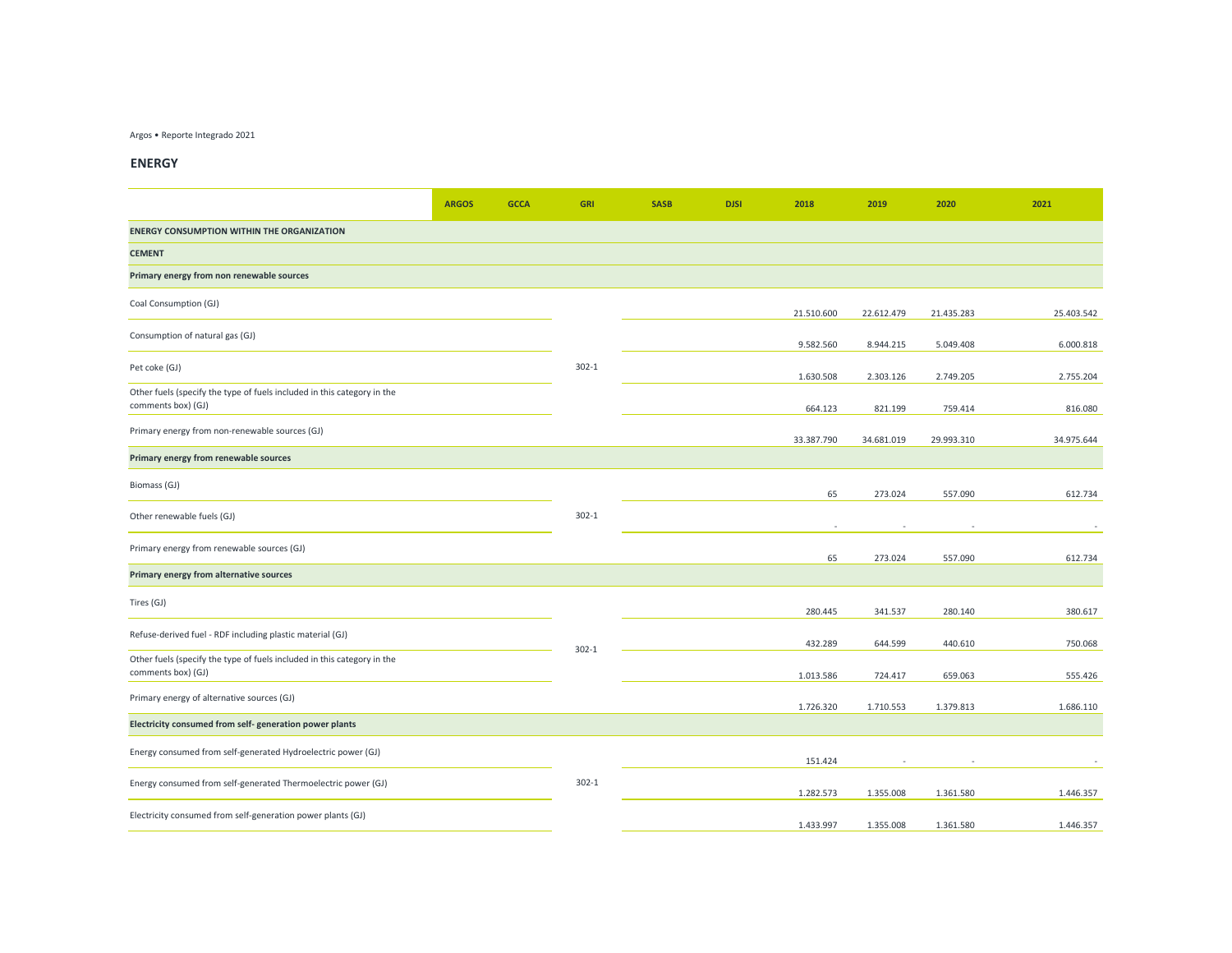## Argos • Reporte Integrado 2021

## **ENERGY**

|                                                                                               | <b>ARGOS</b> | <b>GCCA</b> | <b>GRI</b> | <b>SASB</b> | <b>DJSI</b> | 2018       | 2019       | 2020       | 2021       |
|-----------------------------------------------------------------------------------------------|--------------|-------------|------------|-------------|-------------|------------|------------|------------|------------|
| <b>ENERGY CONSUMPTION WITHIN THE ORGANIZATION</b>                                             |              |             |            |             |             |            |            |            |            |
| <b>CEMENT</b>                                                                                 |              |             |            |             |             |            |            |            |            |
| Primary energy from non renewable sources                                                     |              |             |            |             |             |            |            |            |            |
| Coal Consumption (GJ)                                                                         |              |             |            |             |             | 21.510.600 | 22.612.479 | 21.435.283 | 25.403.542 |
| Consumption of natural gas (GJ)                                                               |              |             |            |             |             | 9.582.560  | 8.944.215  | 5.049.408  | 6.000.818  |
| Pet coke (GJ)                                                                                 |              |             | $302 - 1$  |             |             | 1.630.508  | 2.303.126  | 2.749.205  | 2.755.204  |
| Other fuels (specify the type of fuels included in this category in the<br>comments box) (GJ) |              |             |            |             |             | 664.123    | 821.199    | 759.414    | 816.080    |
| Primary energy from non-renewable sources (GJ)                                                |              |             |            |             |             | 33.387.790 | 34.681.019 | 29.993.310 | 34.975.644 |
| Primary energy from renewable sources                                                         |              |             |            |             |             |            |            |            |            |
| Biomass (GJ)                                                                                  |              |             |            |             |             | 65         | 273.024    | 557.090    | 612.734    |
| Other renewable fuels (GJ)                                                                    |              |             | $302 - 1$  |             |             | $\sim$     |            |            |            |
| Primary energy from renewable sources (GJ)                                                    |              |             |            |             |             | 65         | 273.024    | 557.090    | 612.734    |
| Primary energy from alternative sources                                                       |              |             |            |             |             |            |            |            |            |
| Tires (GJ)                                                                                    |              |             |            |             |             | 280.445    | 341.537    | 280.140    | 380.617    |
| Refuse-derived fuel - RDF including plastic material (GJ)                                     |              |             | $302 - 1$  |             |             | 432.289    | 644.599    | 440.610    | 750.068    |
| Other fuels (specify the type of fuels included in this category in the<br>comments box) (GJ) |              |             |            |             |             | 1.013.586  | 724.417    | 659.063    | 555.426    |
| Primary energy of alternative sources (GJ)                                                    |              |             |            |             |             | 1.726.320  | 1.710.553  | 1.379.813  | 1.686.110  |
| Electricity consumed from self-generation power plants                                        |              |             |            |             |             |            |            |            |            |
| Energy consumed from self-generated Hydroelectric power (GJ)                                  |              |             |            |             |             | 151.424    |            |            |            |
| Energy consumed from self-generated Thermoelectric power (GJ)                                 |              |             | $302 - 1$  |             |             | 1.282.573  | 1.355.008  | 1.361.580  | 1.446.357  |
| Electricity consumed from self-generation power plants (GJ)                                   |              |             |            |             |             | 1.433.997  | 1.355.008  | 1.361.580  | 1.446.357  |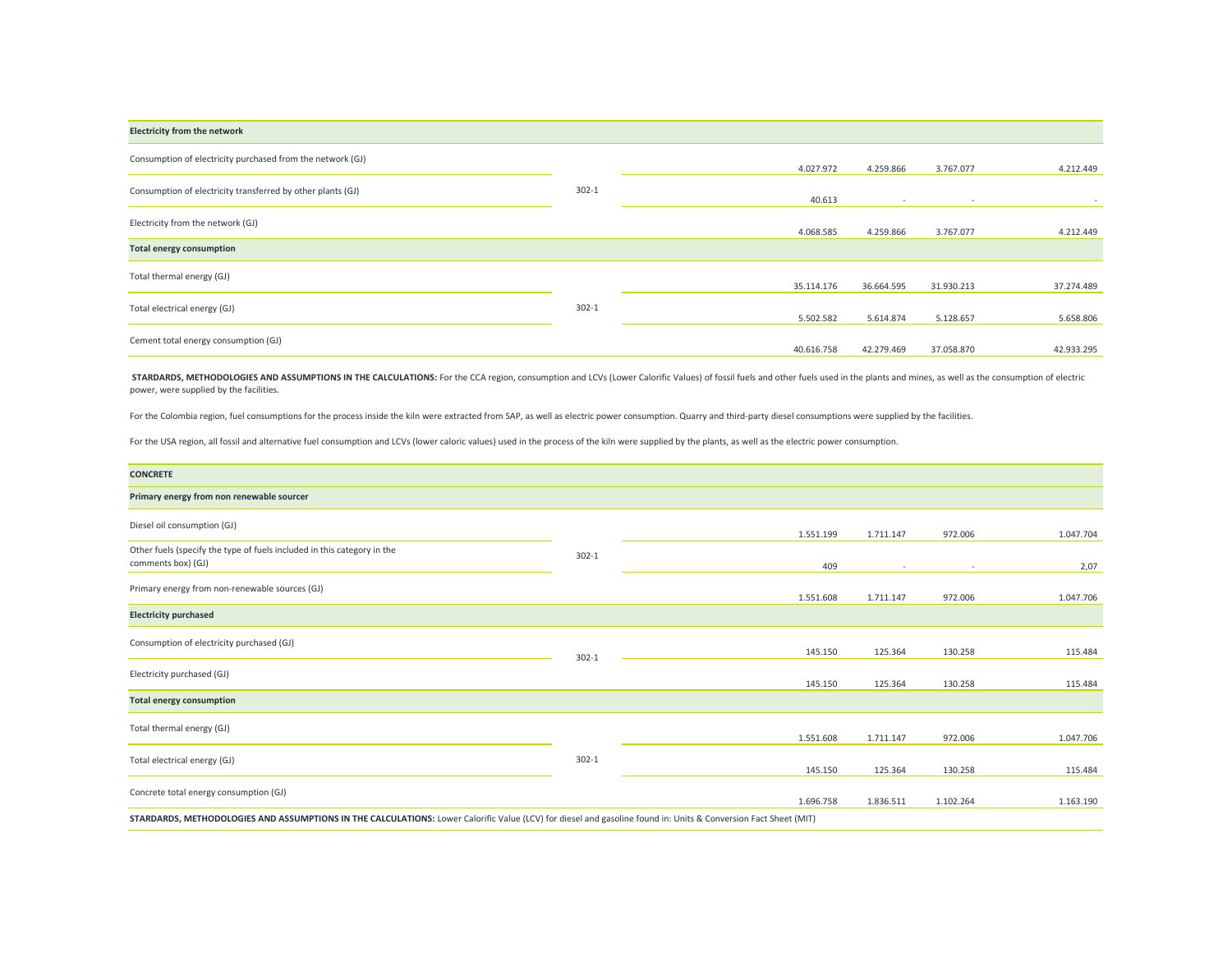| <b>Electricity from the network</b>                         |           |            |                |                          |            |
|-------------------------------------------------------------|-----------|------------|----------------|--------------------------|------------|
| Consumption of electricity purchased from the network (GJ)  |           | 4.027.972  | 4.259.866      | 3.767.077                | 4.212.449  |
|                                                             |           |            |                |                          |            |
| Consumption of electricity transferred by other plants (GJ) | $302 - 1$ | 40.613     | $\overline{a}$ | $\overline{\phantom{a}}$ | $\sim$     |
| Electricity from the network (GJ)                           |           |            |                |                          |            |
|                                                             |           | 4.068.585  | 4.259.866      | 3.767.077                | 4.212.449  |
| <b>Total energy consumption</b>                             |           |            |                |                          |            |
| Total thermal energy (GJ)                                   |           |            |                |                          |            |
|                                                             |           | 35.114.176 | 36.664.595     | 31.930.213               | 37.274.489 |
| Total electrical energy (GJ)                                | $302 - 1$ |            |                |                          |            |
|                                                             |           | 5.502.582  | 5.614.874      | 5.128.657                | 5.658.806  |
| Cement total energy consumption (GJ)                        |           |            |                |                          |            |
|                                                             |           | 40.616.758 | 42.279.469     | 37.058.870               | 42.933.295 |

STARDARDS, METHODOLOGIES AND ASSUMPTIONS IN THE CALCULATIONS: For the CCA region, consumption and LCVs (Lower Calorific Values) of fossil fuels and other fuels used in the plants and mines, as well as the consumption of el power, were supplied by the facilities.

For the Colombia region, fuel consumptions for the process inside the kiln were extracted from SAP, as well as electric power consumption. Quarry and third-party diesel consumptions were supplied by the facilities.

For the USA region, all fossil and alternative fuel consumption and LCVs (lower caloric values) used in the process of the kiln were supplied by the plants, as well as the electric power consumption.

| <b>CONCRETE</b>                                                                                                                                                 |           |           |           |           |           |
|-----------------------------------------------------------------------------------------------------------------------------------------------------------------|-----------|-----------|-----------|-----------|-----------|
| Primary energy from non renewable sourcer                                                                                                                       |           |           |           |           |           |
| Diesel oil consumption (GJ)                                                                                                                                     |           | 1.551.199 | 1.711.147 | 972.006   | 1.047.704 |
| Other fuels (specify the type of fuels included in this category in the<br>comments box) (GJ)                                                                   | $302 - 1$ | 409       | $\sim$    | $\sim$    | 2,07      |
| Primary energy from non-renewable sources (GJ)                                                                                                                  |           | 1.551.608 | 1.711.147 | 972.006   | 1.047.706 |
| <b>Electricity purchased</b>                                                                                                                                    |           |           |           |           |           |
| Consumption of electricity purchased (GJ)                                                                                                                       | $302 - 1$ | 145.150   | 125.364   | 130.258   | 115.484   |
| Electricity purchased (GJ)                                                                                                                                      |           | 145.150   | 125.364   | 130.258   | 115.484   |
| <b>Total energy consumption</b>                                                                                                                                 |           |           |           |           |           |
| Total thermal energy (GJ)                                                                                                                                       |           | 1.551.608 | 1.711.147 | 972.006   | 1.047.706 |
| Total electrical energy (GJ)                                                                                                                                    | $302 - 1$ | 145.150   | 125.364   | 130.258   | 115.484   |
| Concrete total energy consumption (GJ)                                                                                                                          |           | 1.696.758 | 1.836.511 | 1.102.264 | 1.163.190 |
| STARDARDS, METHODOLOGIES AND ASSUMPTIONS IN THE CALCULATIONS: Lower Calorific Value (LCV) for diesel and gasoline found in: Units & Conversion Fact Sheet (MIT) |           |           |           |           |           |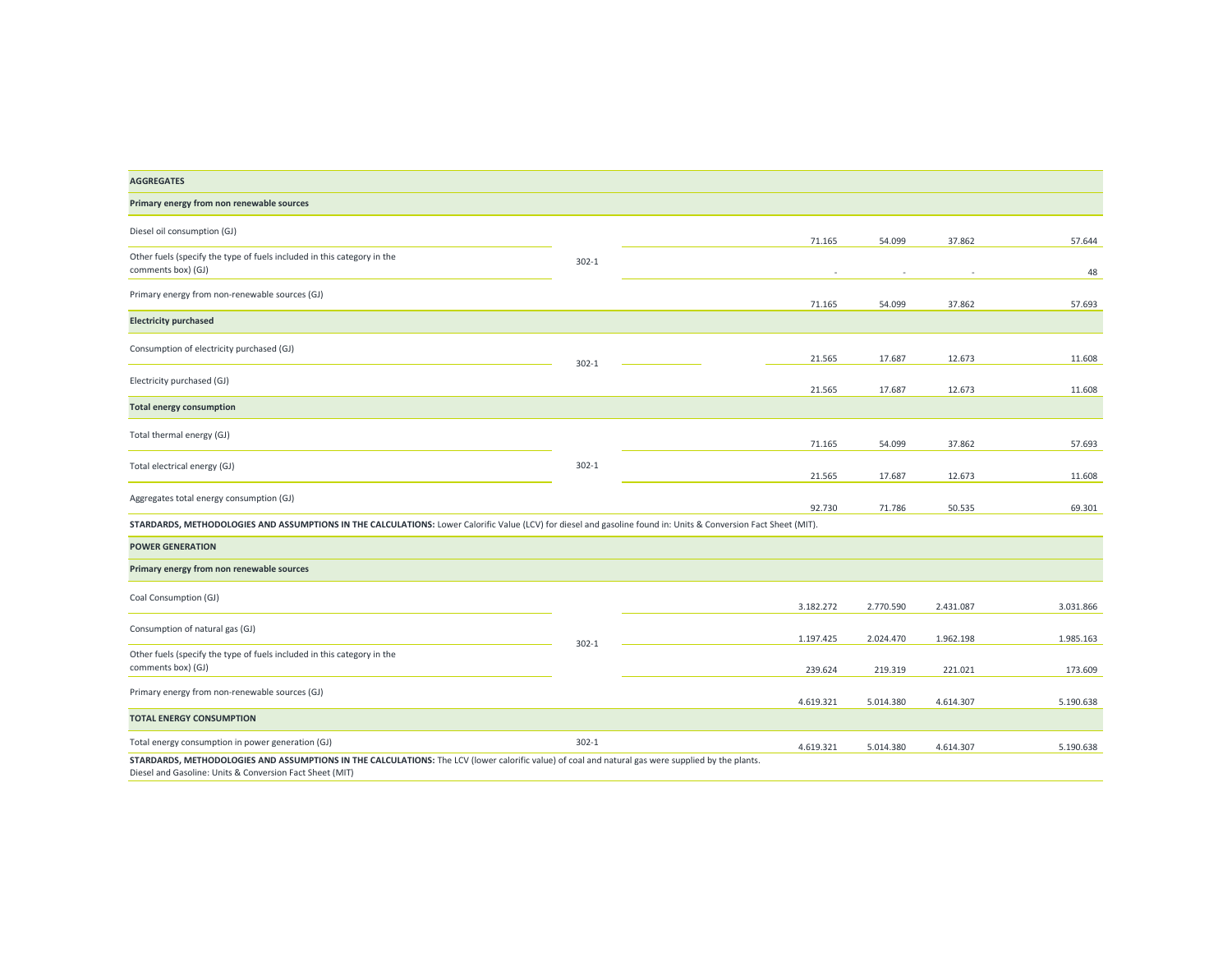| <b>AGGREGATES</b>                                                                                                                                                                                              |           |           |           |           |           |
|----------------------------------------------------------------------------------------------------------------------------------------------------------------------------------------------------------------|-----------|-----------|-----------|-----------|-----------|
| Primary energy from non renewable sources                                                                                                                                                                      |           |           |           |           |           |
| Diesel oil consumption (GJ)                                                                                                                                                                                    |           | 71.165    | 54.099    | 37.862    | 57.644    |
| Other fuels (specify the type of fuels included in this category in the<br>comments box) (GJ)                                                                                                                  | $302 - 1$ |           |           |           | 48        |
| Primary energy from non-renewable sources (GJ)                                                                                                                                                                 |           | 71.165    | 54.099    | 37.862    | 57.693    |
| <b>Electricity purchased</b>                                                                                                                                                                                   |           |           |           |           |           |
| Consumption of electricity purchased (GJ)                                                                                                                                                                      | $302 - 1$ | 21.565    | 17.687    | 12.673    | 11.608    |
| Electricity purchased (GJ)                                                                                                                                                                                     |           | 21.565    | 17.687    | 12.673    | 11.608    |
| <b>Total energy consumption</b>                                                                                                                                                                                |           |           |           |           |           |
| Total thermal energy (GJ)                                                                                                                                                                                      |           | 71.165    | 54.099    | 37.862    | 57.693    |
| Total electrical energy (GJ)                                                                                                                                                                                   | $302 - 1$ | 21.565    | 17.687    | 12.673    | 11.608    |
| Aggregates total energy consumption (GJ)                                                                                                                                                                       |           | 92.730    | 71.786    | 50.535    | 69.301    |
| STARDARDS, METHODOLOGIES AND ASSUMPTIONS IN THE CALCULATIONS: Lower Calorific Value (LCV) for diesel and gasoline found in: Units & Conversion Fact Sheet (MIT).                                               |           |           |           |           |           |
| <b>POWER GENERATION</b>                                                                                                                                                                                        |           |           |           |           |           |
| Primary energy from non renewable sources                                                                                                                                                                      |           |           |           |           |           |
| Coal Consumption (GJ)                                                                                                                                                                                          |           | 3.182.272 | 2.770.590 | 2.431.087 | 3.031.866 |
| Consumption of natural gas (GJ)                                                                                                                                                                                |           | 1.197.425 | 2.024.470 | 1.962.198 | 1.985.163 |
| Other fuels (specify the type of fuels included in this category in the<br>comments box) (GJ)                                                                                                                  | $302 - 1$ | 239.624   | 219.319   | 221.021   | 173.609   |
| Primary energy from non-renewable sources (GJ)                                                                                                                                                                 |           | 4.619.321 | 5.014.380 | 4.614.307 | 5.190.638 |
| <b>TOTAL ENERGY CONSUMPTION</b>                                                                                                                                                                                |           |           |           |           |           |
| Total energy consumption in power generation (GJ)                                                                                                                                                              | $302 - 1$ | 4.619.321 | 5.014.380 | 4.614.307 | 5.190.638 |
| STARDARDS, METHODOLOGIES AND ASSUMPTIONS IN THE CALCULATIONS: The LCV (lower calorific value) of coal and natural gas were supplied by the plants.<br>Diesel and Gasoline: Units & Conversion Fact Sheet (MIT) |           |           |           |           |           |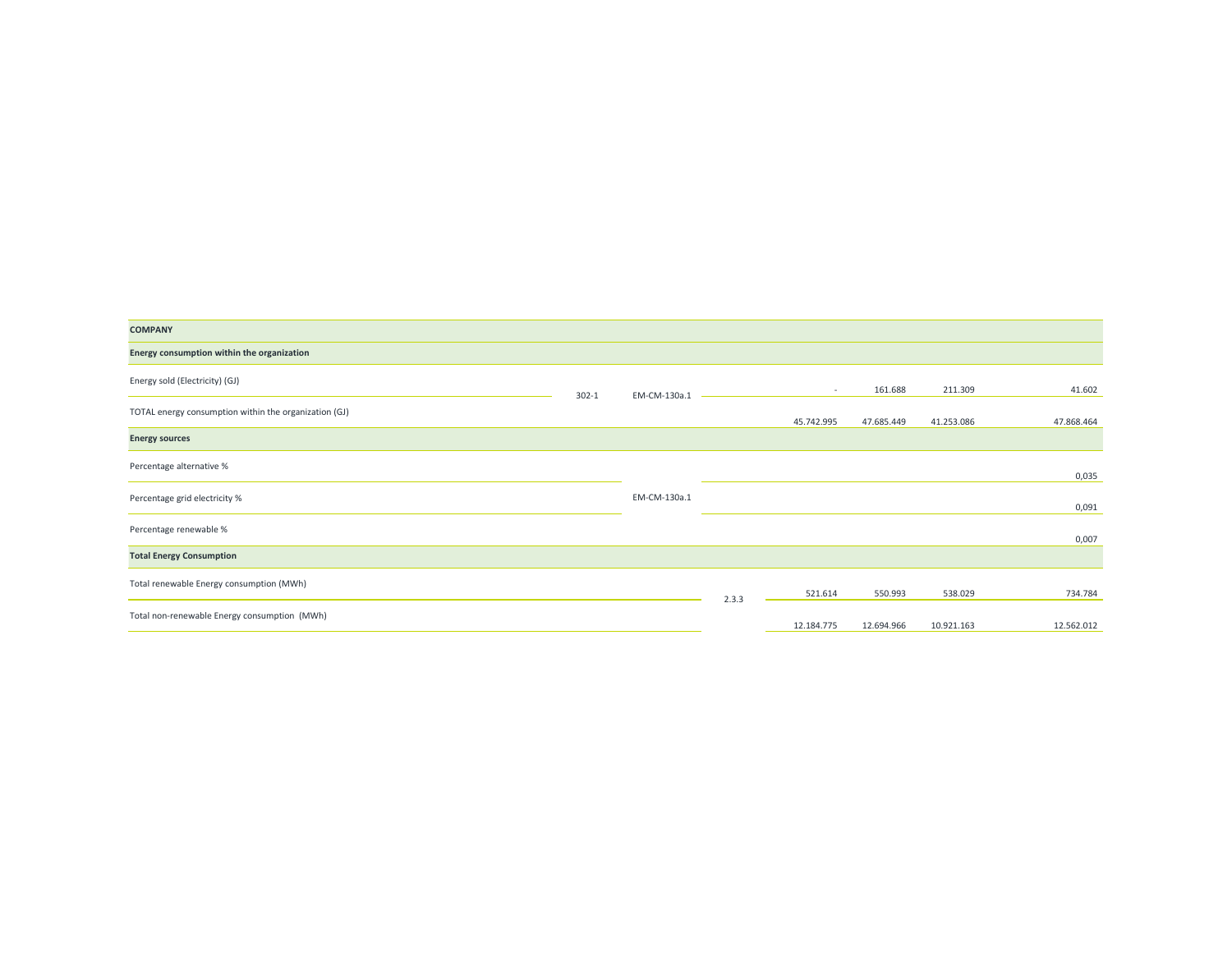| <b>COMPANY</b>                                        |           |              |       |            |            |            |            |
|-------------------------------------------------------|-----------|--------------|-------|------------|------------|------------|------------|
| Energy consumption within the organization            |           |              |       |            |            |            |            |
| Energy sold (Electricity) (GJ)                        | $302 - 1$ | EM-CM-130a.1 |       | $\sim$     | 161.688    | 211.309    | 41.602     |
| TOTAL energy consumption within the organization (GJ) |           |              |       | 45.742.995 | 47.685.449 | 41.253.086 | 47.868.464 |
| <b>Energy sources</b>                                 |           |              |       |            |            |            |            |
| Percentage alternative %                              |           |              |       |            |            |            | 0,035      |
| Percentage grid electricity %                         |           | EM-CM-130a.1 |       |            |            |            | 0,091      |
| Percentage renewable %                                |           |              |       |            |            |            | 0,007      |
| <b>Total Energy Consumption</b>                       |           |              |       |            |            |            |            |
| Total renewable Energy consumption (MWh)              |           |              | 2.3.3 | 521.614    | 550.993    | 538.029    | 734.784    |
| Total non-renewable Energy consumption (MWh)          |           |              |       | 12.184.775 | 12.694.966 | 10.921.163 | 12.562.012 |
|                                                       |           |              |       |            |            |            |            |

<u> Termin de la provincia de la provincia de la provincia de la provincia de la provincia de la provincia de la p</u>